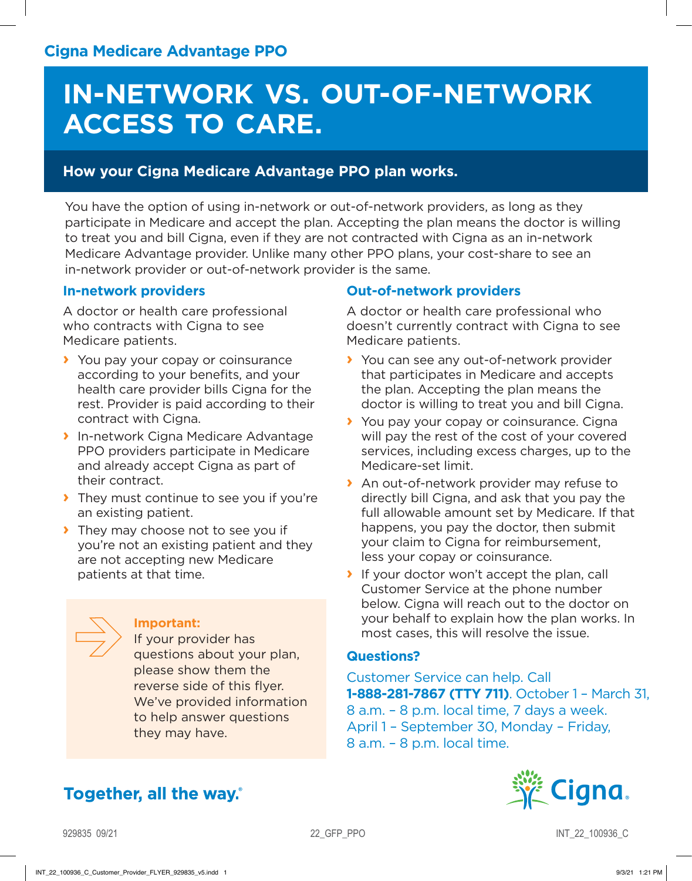## **IN-NETWORK VS. OUT-OF-NETWORK ACCESS TO CARE.**

#### **How your Cigna Medicare Advantage PPO plan works.**

You have the option of using in-network or out-of-network providers, as long as they participate in Medicare and accept the plan. Accepting the plan means the doctor is willing to treat you and bill Cigna, even if they are not contracted with Cigna as an in-network Medicare Advantage provider. Unlike many other PPO plans, your cost-share to see an in-network provider or out-of-network provider is the same.

#### **In-network providers**

A doctor or health care professional who contracts with Cigna to see Medicare patients.

- **›** You pay your copay or coinsurance according to your benefits, and your health care provider bills Cigna for the rest. Provider is paid according to their contract with Cigna.
- **›** In-network Cigna Medicare Advantage PPO providers participate in Medicare and already accept Cigna as part of their contract.
- **›** They must continue to see you if you're an existing patient.
- **›** They may choose not to see you if you're not an existing patient and they are not accepting new Medicare patients at that time.

#### **Important:**

If your provider has questions about your plan, please show them the reverse side of this flyer. We've provided information to help answer questions they may have.

### Together, all the way.

#### **Out-of-network providers**

A doctor or health care professional who doesn't currently contract with Cigna to see Medicare patients.

- **›** You can see any out-of-network provider that participates in Medicare and accepts the plan. Accepting the plan means the doctor is willing to treat you and bill Cigna.
- **›** You pay your copay or coinsurance. Cigna will pay the rest of the cost of your covered services, including excess charges, up to the Medicare-set limit.
- **›** An out-of-network provider may refuse to directly bill Cigna, and ask that you pay the full allowable amount set by Medicare. If that happens, you pay the doctor, then submit your claim to Cigna for reimbursement, less your copay or coinsurance.
- **›** If your doctor won't accept the plan, call Customer Service at the phone number below. Cigna will reach out to the doctor on your behalf to explain how the plan works. In most cases, this will resolve the issue.

#### **Questions?**

Customer Service can help. Call **1-888-281-7867 (TTY 711)**. October 1 – March 31, 8 a.m. – 8 p.m. local time, 7 days a week. April 1 – September 30, Monday – Friday, 8 a.m. – 8 p.m. local time.



929835 09/21 22\_G INT\_22\_100936\_C

INT\_22\_100936\_C\_Customer\_Provider\_FLYER\_929835\_v5.indd 1 9/3/21 1:21 PM